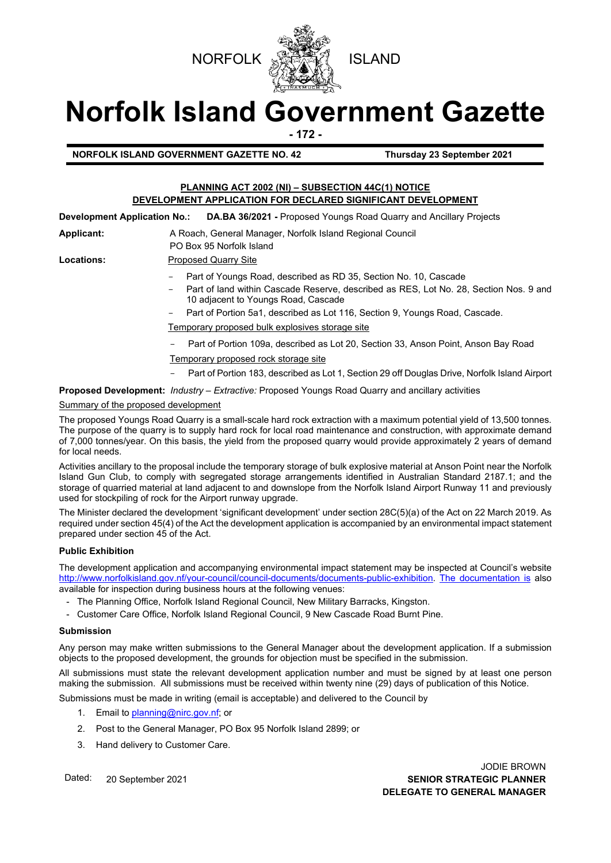



# **Norfolk Island Government Gazette**

**- 172 -**

**NORFOLK ISLAND GOVERNMENT GAZETTE NO. 42 Thursday 23 September 2021**

### **PLANNING ACT 2002 (NI) – SUBSECTION 44C(1) NOTICE DEVELOPMENT APPLICATION FOR DECLARED SIGNIFICANT DEVELOPMENT**

**Development Application No.: DA.BA 36/2021 -** Proposed Youngs Road Quarry and Ancillary Projects

Applicant: A Roach, General Manager, Norfolk Island Regional Council

PO Box 95 Norfolk Island

## Locations: Proposed Quarry Site

- Part of Youngs Road, described as RD 35, Section No. 10, Cascade
- Part of land within Cascade Reserve, described as RES, Lot No. 28, Section Nos. 9 and 10 adjacent to Youngs Road, Cascade
- Part of Portion 5a1, described as Lot 116, Section 9, Youngs Road, Cascade.

Temporary proposed bulk explosives storage site

- Part of Portion 109a, described as Lot 20, Section 33, Anson Point, Anson Bay Road
- Temporary proposed rock storage site
- Part of Portion 183, described as Lot 1, Section 29 off Douglas Drive, Norfolk Island Airport

**Proposed Development:** *Industry – Extractive:* Proposed Youngs Road Quarry and ancillary activities

#### Summary of the proposed development

The proposed Youngs Road Quarry is a small-scale hard rock extraction with a maximum potential yield of 13,500 tonnes. The purpose of the quarry is to supply hard rock for local road maintenance and construction, with approximate demand of 7,000 tonnes/year. On this basis, the yield from the proposed quarry would provide approximately 2 years of demand for local needs.

Activities ancillary to the proposal include the temporary storage of bulk explosive material at Anson Point near the Norfolk Island Gun Club, to comply with segregated storage arrangements identified in Australian Standard 2187.1; and the storage of quarried material at land adjacent to and downslope from the Norfolk Island Airport Runway 11 and previously used for stockpiling of rock for the Airport runway upgrade.

The Minister declared the development 'significant development' under section 28C(5)(a) of the Act on 22 March 2019. As required under section 45(4) of the Act the development application is accompanied by an environmental impact statement prepared under section 45 of the Act.

#### **Public Exhibition**

The development application and accompanying environmental impact statement may be inspected at Council's website [http://www.norfolkisland.gov.nf/your-council/council-documents/documents-public-exhibition.](http://www.norfolkisland.gov.nf/your-council/council-documents/documents-public-exhibition) The documentation is also available for inspection during business hours at the following venues:

- The Planning Office, Norfolk Island Regional Council, New Military Barracks, Kingston.
- Customer Care Office, Norfolk Island Regional Council, 9 New Cascade Road Burnt Pine.

#### **Submission**

Any person may make written submissions to the General Manager about the development application. If a submission objects to the proposed development, the grounds for objection must be specified in the submission.

All submissions must state the relevant development application number and must be signed by at least one person making the submission. All submissions must be received within twenty nine (29) days of publication of this Notice.

Submissions must be made in writing (email is acceptable) and delivered to the Council by

- 1. Email t[o planning@nirc.gov.nf;](mailto:planning@nirc.gov.nf) or
- 2. Post to the General Manager, PO Box 95 Norfolk Island 2899; or
- 3. Hand delivery to Customer Care.

Dated: 20 September 2021